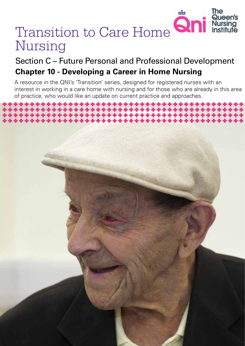# The Queen's Transition to Care Home **Qni** Nursing

# Section C – Future Personal and Professional Development **Chapter 10 - Developing a Career in Home Nursing**

A resource in the QNI's 'Transition' series, designed for registered nurses with an interest in working in a care home with nursing and for those who are already in this area of practice, who would like an update on current practice and approaches.

*Transition to Care Home Nursing 1*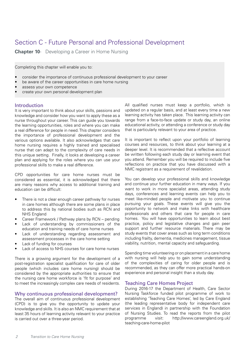## Section C - Future Personal and Professional Development

**Chapter 10**- Developing a Career in Home Nursing

Completing this chapter will enable you to:

- consider the importance of continuous professional development to your career
- be aware of the career opportunities in care home nursing
- assess your own competence
- create your own personal development plan

## Introduction

It is very important to think about your skills, passions and knowledge and consider how you want to apply these as a nurse throughout your career. This can guide you towards the learning opportunities, roles and where you can make a real difference for people in need. This chapter considers the importance of professional development and the various options available. It also acknowledges that care home nursing requires a highly trained and specialised nurse that can adapt to the complexity of care needs in this unique setting. Finally, it looks at developing a career plan and applying for the roles where you can use your professional skills to make a real difference.

CPD opportunities for care home nurses must be considered as essential, it is acknowledged that there are many reasons why access to additional training and education can be difficult:

- There is not a clear enough career pathway for nurses in care homes although there are some plans in place to address this by national bodies such as RCN and NHS England
- Career Framework / Pathway plans by RCN pending
- Lack of understanding by commissioners of the education and training needs of care home nurses
- Lack of understanding regarding assessment and assessment processes in the care home setting
- Lack of funding for courses
- Lack of access to NHS courses for care home nurses

There is a growing argument for the development of a post-registration specialist qualification for care of older people (which includes care home nursing) should be considered by the appropriate authorities to ensure that the nursing care home workforce is 'fit for purpose' and to meet the increasingly complex care needs of residents.

## Why continuous professional development?

The overall aim of continuous professional development (CPD) is to give you the opportunity to update your knowledge and skills. It is also an NMC requirement that at least 35 hours of learning activity relevant to your practice is carried out over a three-year period.

All qualified nurses must keep a portfolio, which is updated on a regular basis, and at least every time a new learning activity has taken place. This learning activity can range from a face-to-face update or study day, an online educational activity, or attending a conference or study day that is particularly relevant to your area of practice.

It is important to reflect upon your portfolio of learning courses and resources, to think about your learning at a deeper level. It is recommended that a reflective account be written following each study day or learning event that you attend. Remember you will be required to include five reflections on practice that you have discussed with a NMC registrant as a requirement of revalidation.

You can develop your professional skills and knowledge and continue your further education in many ways. If you want to work in more specialist areas, attending study days, conferences and learning events can help you to meet like-minded people and motivate you to continue pursuing your goals. These events will give you the opportunity to network and make links with healthcare professionals and others that care for people in care homes. You will have opportunities to learn about best practice, policy and legislative changes and gain peer support and further resource materials. There may be study events that cover areas such as long term conditions including frailty, dementia, medicines management, tissue viability, nutrition, mental capacity and safeguarding.

Spending time volunteering or on placement in a care home with nursing will help you to gain some understanding of the complexities of caring for older people and is recommended, as they can offer more practical hands-on experience and personal insight than a study day.

### Teaching Care Homes Project

During 2016-17 the Department of Health, Care Sector Nursing Taskforce funded pilot programme of work to establishing 'Teaching Care Homes', led by Care England (the leading representative body for independent care services in England) in partnership with the Foundation of Nursing Studies. To read the reports from the pilot programme visit: http://www.careengland.org.uk/ teaching-care-home-pilot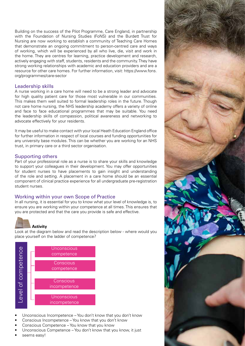Building on the success of the Pilot Programme, Care England, in partnership with the Foundation of Nursing Studies (FoNS) and the Burdett Trust for Nursing are now working to establish a community of Teaching Care Homes that demonstrate an ongoing commitment to person-centred care and ways of working, which will be experienced by all who live, die, visit and work in the home. They are centres for learning, practice development and research, actively engaging with staff, students, residents and the community. They have strong working relationships with academic and education providers and are a resource for other care homes. For further information, visit: https://www.fons. org/programmes/care-sector

## Leadership skills

A nurse working in a care home will need to be a strong leader and advocate for high quality patient care for those most vulnerable in our communities. This makes them well suited to formal leadership roles in the future. Though not care home nursing, the NHS leadership academy offers a variety of online and face to face educational programmes that may be suitable. You need the leadership skills of compassion, political awareness and networking to advocate effectively for your residents.

It may be useful to make contact with your local Heath Education England office for further information in respect of local courses and funding opportunities for any university base modules. This can be whether you are working for an NHS trust, in primary care or a third sector organisation.

## Supporting others

Part of your professional role as a nurse is to share your skills and knowledge to support your colleagues in their development. You may offer opportunities for student nurses to have placements to gain insight and understanding of the role and setting. A placement in a care home should be an essential component of clinical practice experience for all undergraduate pre-registration student nurses.

## Working within your own Scope of Practice

In all nursing, it is essential for you to know what your level of knowledge is, to ensure you are working within your competence at all times. This ensures that you are protected and that the care you provide is safe and effective.



## **Activity**

Look at the diagram below and read the description below - where would you place yourself on the ladder of competence?



- Unconscious Incompetence You don't know that you don't know
- Conscious Incompetence You know that you don't know
- Conscious Competence You know that you know
- Unconscious Competence You don't know that you know, it just
- 

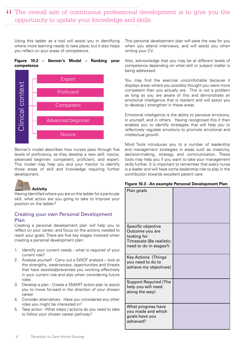## II The overall aim of continuous professional development is to give you the opportunity to update your knowledge and skills. opportunity to update your knowledge and skills.

Using this ladder as a tool will assist you in identifying where more learning needs to take place, but it also helps you reflect on your areas of competence.

### **Figure 10.2 – Benner's Model – Ranking your competence**



Benner's model describes how nurses pass through five levels of proficiency, as they develop a new skill: novice, advanced beginner, competent, proficient, and expert. This model may help you and your mentor to identify those areas of skill and knowledge requiring further development.



Having identified where you are on the ladder for a particular skill, what action are you going to take to improve your position on the ladder?

## Creating your own Personal Development Plan

Creating a personal development plan will help you to reflect on your career, and focus on the actions needed to reach your goals. There are five key stages involved when creating a personal development plan:

- 1. Identify your current needs what is required of your current role?
- 2. Analyse yourself Carry out a SWOT analysis look at the strengths, weaknesses, opportunities and threats that have assisted/prevented you working effectively in your current role and also when considering future roles
- 3. Develop a plan Create a SMART action plan to assist you to move forward in the direction of your chosen career
- 4. Consider alternatives Have you considered any other roles you might be interested in?
- 5. Take action What steps / actions do you need to take to follow your chosen career pathway?

This personal development plan will pave the way for you when you attend interviews, and will assist you when writing your CV.

Also, acknowledge that you may be at different levels of competence depending on what skill or subject matter is being addressed.

You may find the exercise uncomfortable because it displays areas where you possibly thought you were more competent than you actually are. This is not a problem as long as you are aware of this and demonstrate an emotional intelligence that is resilient and will assist you to develop / strengthen in these areas.

Emotional intelligence is the ability to perceive emotions, in yourself, and in others. Having recognised this it then enables you to identify strategies that will help you to reflectively regulate emotions to promote emotional and intellectual growth.

Mind Tools introduces you to a number of leadership and management strategies in areas such as creativity, decision-making, strategy and communication. These tools may help you if you want to take your management skills further. It is important to remember that every nurse is a leader and will have some leadership role to play in the contribution towards excellent patient care.

|  |  |  | Figure 10.3 - An example Personal Development Plan |  |  |  |  |
|--|--|--|----------------------------------------------------|--|--|--|--|
|--|--|--|----------------------------------------------------|--|--|--|--|

| Plan goals                                                                                                 |  |
|------------------------------------------------------------------------------------------------------------|--|
| Specific objective<br>Outcome you are<br>looking for<br>Timescale (Be realistic;<br>need to do in stages?) |  |
| <b>Key Actions (Things</b><br>you need to do to<br>achieve my objectives)                                  |  |
| <b>Support Required (The</b><br>help you will need<br>along the way)                                       |  |
| What progress have<br>you made and which<br>goals have you<br>achieved?                                    |  |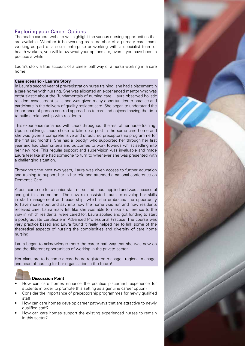## Exploring your Career Options

The health careers website will highlight the various nursing opportunities that are available. Whether it be working as a member of a primary care team, working as part of a social enterprise or working with a specialist team of health workers, you will know what your options are, even if you have been in practice a while.

Laura's story a true account of a career pathway of a nurse working in a care home

#### **Case scenario - Laura's Story**

In Laura's second year of pre-registration nurse training, she had a placement in a care home with nursing. She was allocated an experienced mentor who was enthusiastic about the 'fundamentals of nursing care'. Laura observed holistic resident assessment skills and was given many opportunities to practice and participate in the delivery of quality resident care. She began to understand the importance of person centred approaches to care and enjoyed having the time to build a relationship with residents.

This experience remained with Laura throughout the rest of her nurse training! Upon qualifying, Laura chose to take up a post in the same care home and she was given a comprehensive and structured preceptorship programme for the first six months. She had a 'buddy' who supported her through her first year and had clear criteria and outcomes to work towards whilst settling into her new role. This regular support and supervision was invaluable and made Laura feel like she had someone to turn to whenever she was presented with a challenging situation.

Throughout the next two years, Laura was given access to further education and training to support her in her role and attended a national conference on Dementia Care.

A post came up for a senior staff nurse and Laura applied and was successful and got this promotion. The new role assisted Laura to develop her skills in staff management and leadership, which she embraced the opportunity to have more input and say into how the home was run and how residents received care. Laura really felt like she was able to make a difference to the way in which residents were cared for. Laura applied and got funding to start a postgraduate certificate in Advanced Professional Practice. The course was very practice based and Laura found it really helped her to link some of the theoretical aspects of nursing the complexities and diversity of care home nursing.

Laura began to acknowledge more the career pathway that she was now on and the different opportunities of working in the private sector.

Her plans are to become a care home registered manager, regional manager and head of nursing for her organisation in the future!



#### **Discussion Point**

- How can care homes enhance the practice placement experience for students in order to promote this setting as a genuine career option?
- Consider the importance of preceptorship programmes for newly qualified staff
- How can care homes develop career pathways that are attractive to newly qualified staff?
- How can care homes support the existing experienced nurses to remain in this sector?

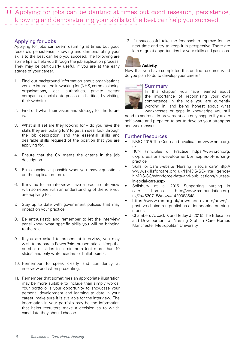Applying for jobs can be dauting at times but good research, persistence, " knowing and demonstrating your skills to the best can help you succeed.

### Applying for Jobs

Applying for jobs can seem daunting at times but good research, persistence, knowing and demonstrating your skills to the best can help you succeed. The following are some tips to help you through the job application process. They may be particularly useful, if you are at the early stages of your career.

- 1. Find out background information about organisations you are interested in working for (NHS, commissioning organisations, local authorities, private sector companies, social enterprises or charities) by visiting their website.
- 2. Find out what their vision and strategy for the future is.
- 3. What skill set are they looking for do you have the skills they are looking for? To get an idea, look through the job description, and the essential skills and desirable skills required of the position that you are applying for.
- 4. Ensure that the CV meets the criteria in the job description.
- 5. Be as succinct as possible when you answer questions on the application form.
- 6. If invited for an interview, have a practice interview with someone with an understanding of the role you are applying for.
- 7. Stay up to date with government policies that may impact on your practice.
- 8. Be enthusiastic and remember to let the interview panel know what specific skills you will be bringing to the role.
- 9. If you are asked to present at interview, you may wish to prepare a PowerPoint presentation. Keep the number of slides to a minimum (not more than 10 slides) and only write headers or bullet points.
- 10. Remember to speak clearly and confidently at interview and when presenting.
- 11. Remember that sometimes an appropriate illustration may be more suitable to include than simply words. Your portfolio is your opportunity to showcase your personal development and learning to date in your career; make sure it is available for the interview. The information in your portfolio may be the information that helps recruiters make a decision as to which candidate they should choose.

12. If unsuccessful take the feedback to improve for the next time and try to keep it in perspective. There are lots of great opportunities for your skills and passions.

## **Activity**

Now that you have completed this on line resource what do you plan to do to develop your career?

### Summary

In this chapter, you have learned about the importance of recognising your own competence in the role you are currently working in, and being honest about what weaknesses or gaps in knowledge you still

need to address. Improvement can only happen if you are self-aware and prepared to act to develop your strengths and weaknesses.

### Further Resources

- NMC 2015 The Code and revalidation www.nmc.org. uk
- RCN Principles of Practice https://www.rcn.org. uk/professional-development/principles-of-nursingpractice
- Skills for Care website 'Nursing in social care' http:// www.skillsforcare.org.uk/NMDS-SC-intelligence/ NMDS-SC/Workforce-data-and-publications/Nursesin-social-care.aspx
- Spilsbury et al 2015 Supporting nursing in care homes http://www.rcnfoundation.org. uk/?a=620718&now=1429088648
- https://www.rcn.org.uk/news-and-events/news/apositive-choice-rcn-publishes-older-peoples-nursingstories
- Chambers A, Jack K and Tetley J (2016) The Education and Development of Nursing Staff in Care Homes Manchester Metropolitan University